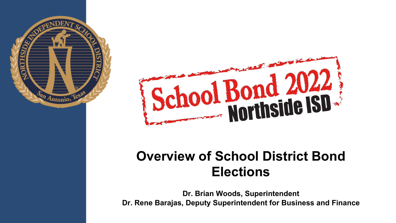



### **Overview of School District Bond Elections**

**Dr. Brian Woods, Superintendent Dr. Rene Barajas, Deputy Superintendent for Business and Finance**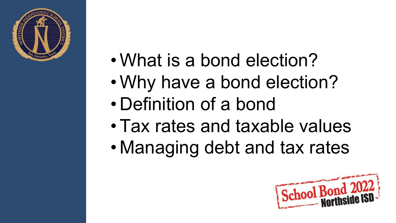

- What is a bond election?
- Why have a bond election?
- Definition of a bond
- Tax rates and taxable values
- Managing debt and tax rates

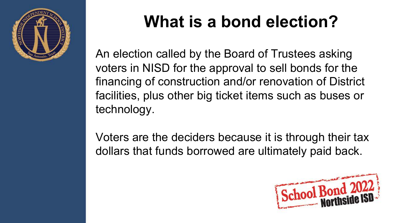

## **What is a bond election?**

An election called by the Board of Trustees asking voters in NISD for the approval to sell bonds for the financing of construction and/or renovation of District facilities, plus other big ticket items such as buses or technology.

Voters are the deciders because it is through their tax dollars that funds borrowed are ultimately paid back.

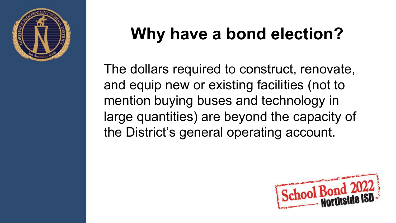

## **Why have a bond election?**

The dollars required to construct, renovate, and equip new or existing facilities (not to mention buying buses and technology in large quantities) are beyond the capacity of the District's general operating account.

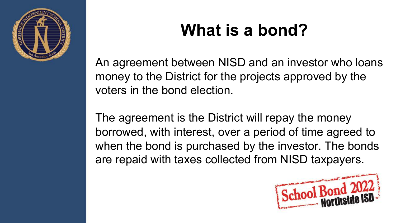

## **What is a bond?**

An agreement between NISD and an investor who loans money to the District for the projects approved by the voters in the bond election.

The agreement is the District will repay the money borrowed, with interest, over a period of time agreed to when the bond is purchased by the investor. The bonds are repaid with taxes collected from NISD taxpayers.

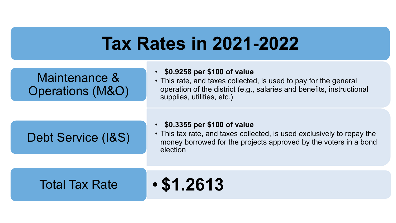### **Tax Rates in 2021-2022**

### Maintenance & Operations (M&O)

### • **\$0.9258 per \$100 of value**

• This rate, and taxes collected, is used to pay for the general operation of the district (e.g., salaries and benefits, instructional supplies, utilities, etc.)

### Debt Service (I&S)

### • **\$0.3355 per \$100 of value**

• This tax rate, and taxes collected, is used exclusively to repay the money borrowed for the projects approved by the voters in a bond election

### Total Tax Rate • **\$1.2613**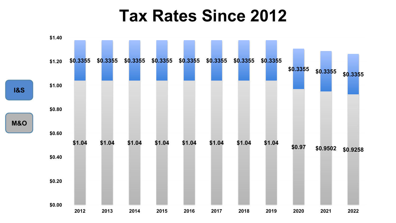### **Tax Rates Since 2012**

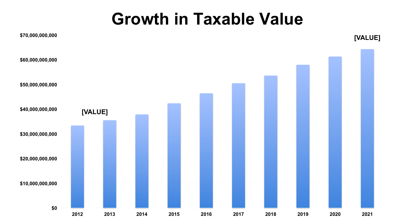### **Growth in Taxable Value**

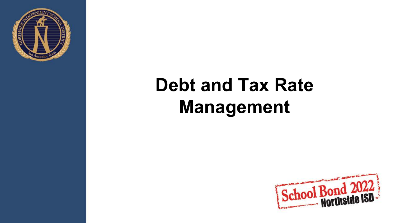

# **Debt and Tax Rate Management**

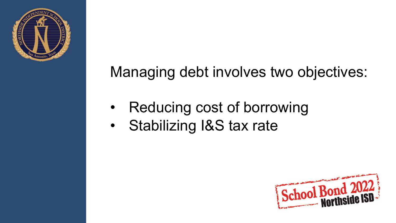

### Managing debt involves two objectives:

- Reducing cost of borrowing
- Stabilizing I&S tax rate

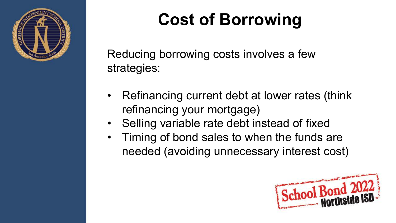

# **Cost of Borrowing**

Reducing borrowing costs involves a few strategies:

- Refinancing current debt at lower rates (think refinancing your mortgage)
- Selling variable rate debt instead of fixed
- Timing of bond sales to when the funds are needed (avoiding unnecessary interest cost)

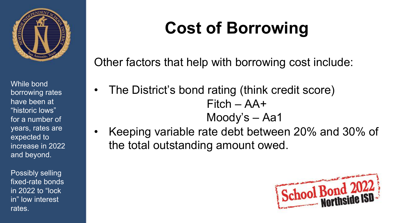

While bond borrowing rates have been at "historic lows" for a number of years, rates are expected to increase in 2022 and beyond.

Possibly selling fixed-rate bonds in 2022 to "lock in" low interest rates.

## **Cost of Borrowing**

Other factors that help with borrowing cost include:

- The District's bond rating (think credit score) Fitch – AA+ Moody's – Aa1
- Keeping variable rate debt between 20% and 30% of the total outstanding amount owed.

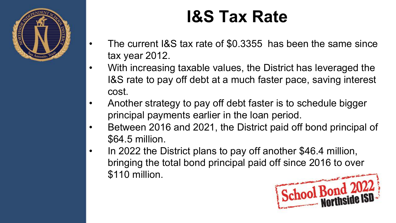

## **I&S Tax Rate**

- The current I&S tax rate of \$0.3355 has been the same since tax year 2012.
- With increasing taxable values, the District has leveraged the I&S rate to pay off debt at a much faster pace, saving interest cost.
- Another strategy to pay off debt faster is to schedule bigger principal payments earlier in the loan period.
- Between 2016 and 2021, the District paid off bond principal of \$64.5 million.
- In 2022 the District plans to pay off another \$46.4 million, bringing the total bond principal paid off since 2016 to over \$110 million.